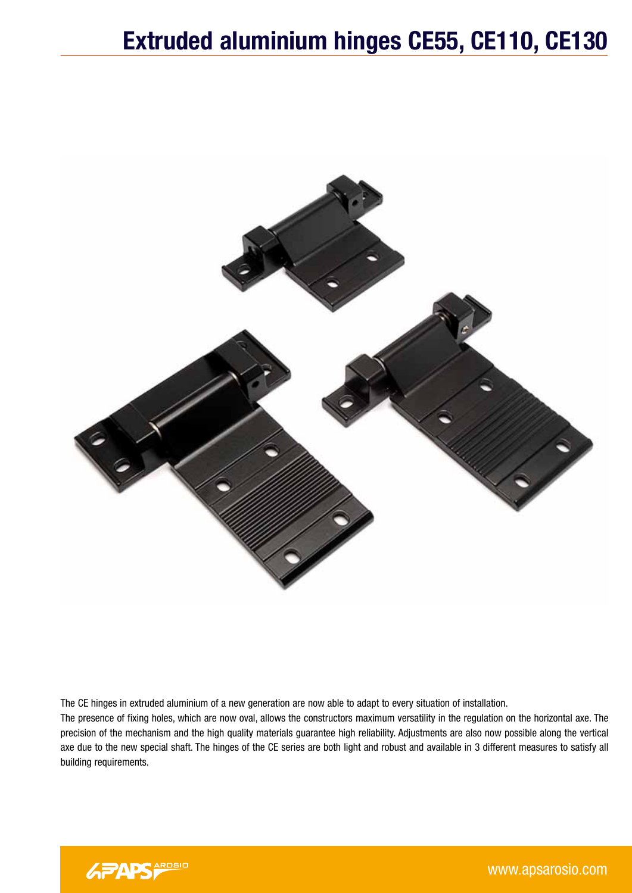

The CE hinges in extruded aluminium of a new generation are now able to adapt to every situation of installation.

The presence of fixing holes, which are now oval, allows the constructors maximum versatility in the regulation on the horizontal axe. The precision of the mechanism and the high quality materials guarantee high reliability. Adjustments are also now possible along the vertical axe due to the new special shaft. The hinges of the CE series are both light and robust and available in 3 different measures to satisfy all building requirements.

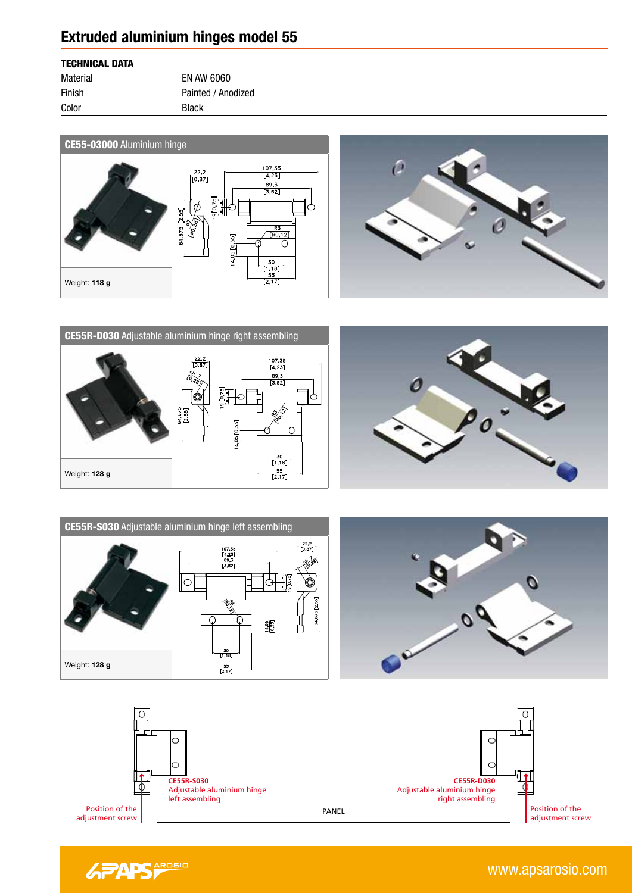## **Extruded aluminium hinges model 55**

| <b>TECHNICAL DATA</b> |  |
|-----------------------|--|
|-----------------------|--|

| .               |                       |  |
|-----------------|-----------------------|--|
| <b>Material</b> | EN AW 6060            |  |
| Finish          | Painted<br>' Anodized |  |
| Color           | <b>Black</b>          |  |















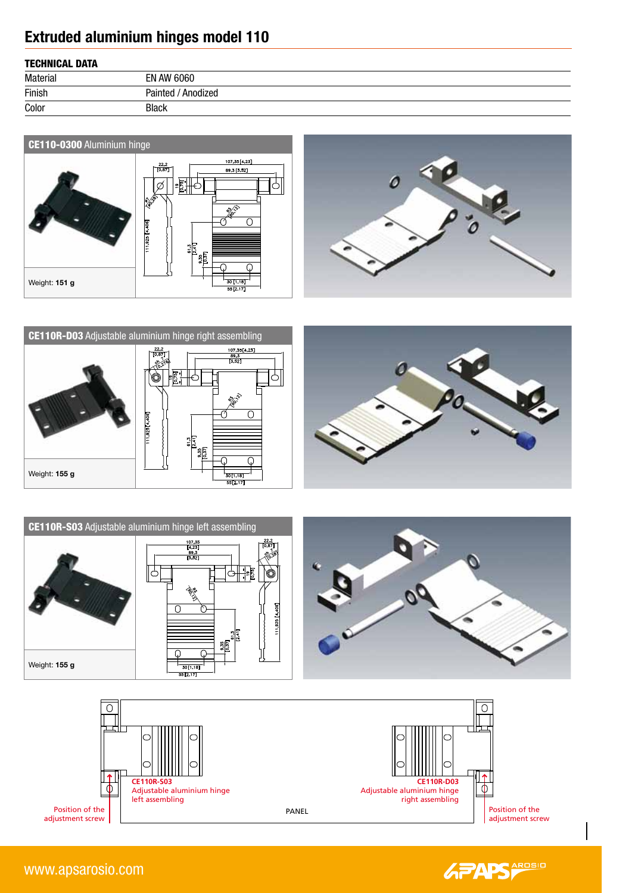# **Extruded aluminium hinges model 110**

### TECHNICAL DATA

| TEVINDORE BAIR  |                         |  |
|-----------------|-------------------------|--|
| <b>Material</b> | <b>EN AW 6060</b>       |  |
| Finish          | / Anodized<br>Painted / |  |
| Color           | <b>Black</b>            |  |













Position of the adjustment screw



www.apsarosio.com